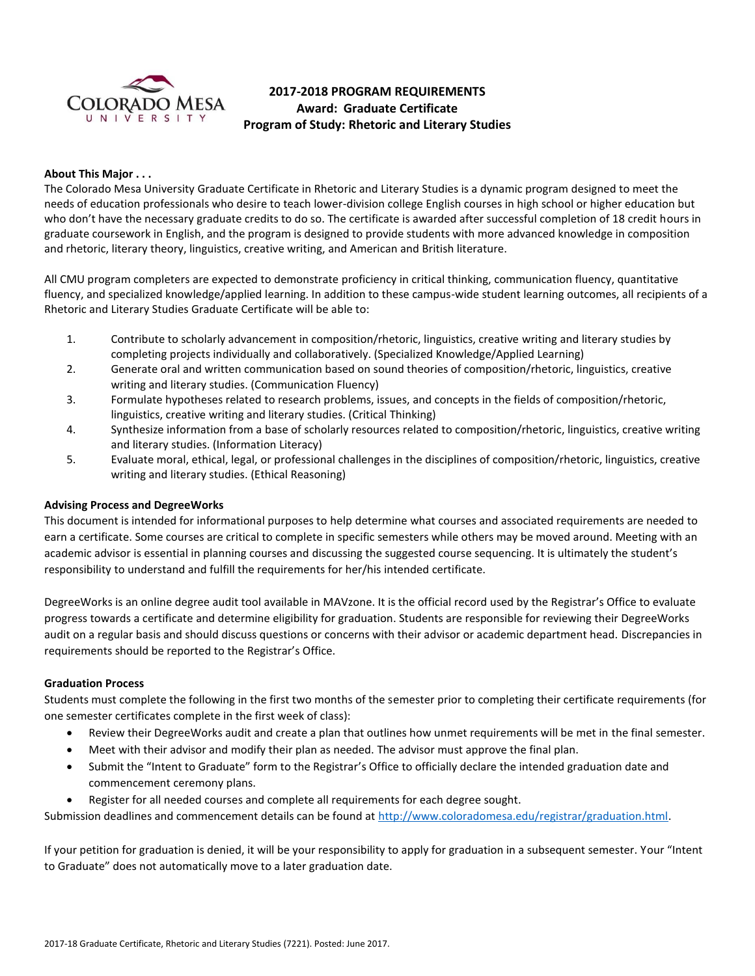

# **2017-2018 PROGRAM REQUIREMENTS Award: Graduate Certificate Program of Study: Rhetoric and Literary Studies**

## **About This Major . . .**

The Colorado Mesa University Graduate Certificate in Rhetoric and Literary Studies is a dynamic program designed to meet the needs of education professionals who desire to teach lower-division college English courses in high school or higher education but who don't have the necessary graduate credits to do so. The certificate is awarded after successful completion of 18 credit hours in graduate coursework in English, and the program is designed to provide students with more advanced knowledge in composition and rhetoric, literary theory, linguistics, creative writing, and American and British literature.

All CMU program completers are expected to demonstrate proficiency in critical thinking, communication fluency, quantitative fluency, and specialized knowledge/applied learning. In addition to these campus-wide student learning outcomes, all recipients of a Rhetoric and Literary Studies Graduate Certificate will be able to:

- 1. Contribute to scholarly advancement in composition/rhetoric, linguistics, creative writing and literary studies by completing projects individually and collaboratively. (Specialized Knowledge/Applied Learning)
- 2. Generate oral and written communication based on sound theories of composition/rhetoric, linguistics, creative writing and literary studies. (Communication Fluency)
- 3. Formulate hypotheses related to research problems, issues, and concepts in the fields of composition/rhetoric, linguistics, creative writing and literary studies. (Critical Thinking)
- 4. Synthesize information from a base of scholarly resources related to composition/rhetoric, linguistics, creative writing and literary studies. (Information Literacy)
- 5. Evaluate moral, ethical, legal, or professional challenges in the disciplines of composition/rhetoric, linguistics, creative writing and literary studies. (Ethical Reasoning)

## **Advising Process and DegreeWorks**

This document is intended for informational purposes to help determine what courses and associated requirements are needed to earn a certificate. Some courses are critical to complete in specific semesters while others may be moved around. Meeting with an academic advisor is essential in planning courses and discussing the suggested course sequencing. It is ultimately the student's responsibility to understand and fulfill the requirements for her/his intended certificate.

DegreeWorks is an online degree audit tool available in MAVzone. It is the official record used by the Registrar's Office to evaluate progress towards a certificate and determine eligibility for graduation. Students are responsible for reviewing their DegreeWorks audit on a regular basis and should discuss questions or concerns with their advisor or academic department head. Discrepancies in requirements should be reported to the Registrar's Office.

#### **Graduation Process**

Students must complete the following in the first two months of the semester prior to completing their certificate requirements (for one semester certificates complete in the first week of class):

- Review their DegreeWorks audit and create a plan that outlines how unmet requirements will be met in the final semester.
- Meet with their advisor and modify their plan as needed. The advisor must approve the final plan.
- Submit the "Intent to Graduate" form to the Registrar's Office to officially declare the intended graduation date and commencement ceremony plans.
- Register for all needed courses and complete all requirements for each degree sought.

Submission deadlines and commencement details can be found at [http://www.coloradomesa.edu/registrar/graduation.html.](http://www.coloradomesa.edu/registrar/graduation.html)

If your petition for graduation is denied, it will be your responsibility to apply for graduation in a subsequent semester. Your "Intent to Graduate" does not automatically move to a later graduation date.